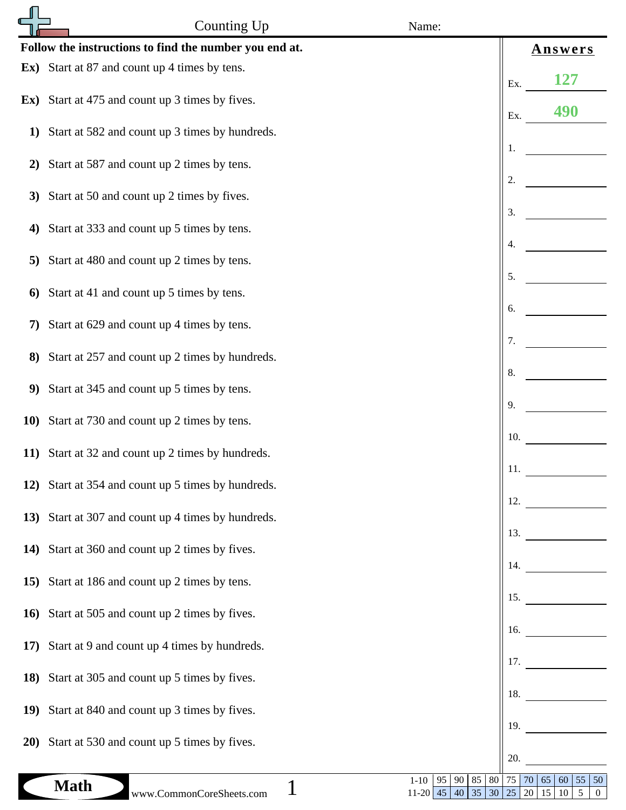|                  | Counting Up<br>Name:                                   |                                                                                                                                                          |
|------------------|--------------------------------------------------------|----------------------------------------------------------------------------------------------------------------------------------------------------------|
|                  | Follow the instructions to find the number you end at. | <b>Answers</b>                                                                                                                                           |
|                  | Ex) Start at 87 and count up 4 times by tens.          | 127                                                                                                                                                      |
|                  | Ex) Start at 475 and count up 3 times by fives.        | Ex.<br>490                                                                                                                                               |
| 1)               | Start at 582 and count up 3 times by hundreds.         | Ex.<br>1.                                                                                                                                                |
| 2)               | Start at 587 and count up 2 times by tens.             | 2.                                                                                                                                                       |
| 3)               | Start at 50 and count up 2 times by fives.             | 3.                                                                                                                                                       |
| $\boldsymbol{4}$ | Start at 333 and count up 5 times by tens.             |                                                                                                                                                          |
| 5)               | Start at 480 and count up 2 times by tens.             | 4.                                                                                                                                                       |
| 6                | Start at 41 and count up 5 times by tens.              | 5.<br>6.                                                                                                                                                 |
| 7)               | Start at 629 and count up 4 times by tens.             | 7.                                                                                                                                                       |
| 8)               | Start at 257 and count up 2 times by hundreds.         | 8.                                                                                                                                                       |
| 9)               | Start at 345 and count up 5 times by tens.             | 9.                                                                                                                                                       |
| <b>10</b> )      | Start at 730 and count up 2 times by tens.             | 10.                                                                                                                                                      |
|                  | 11) Start at 32 and count up 2 times by hundreds.      | 11.                                                                                                                                                      |
| <b>12</b> )      | Start at 354 and count up 5 times by hundreds.         | 12.                                                                                                                                                      |
| 13)              | Start at 307 and count up 4 times by hundreds.         | 13.                                                                                                                                                      |
| <b>14</b> )      | Start at 360 and count up 2 times by fives.            | 14.                                                                                                                                                      |
| <b>15</b> )      | Start at 186 and count up 2 times by tens.             | 15.                                                                                                                                                      |
| <b>16</b>        | Start at 505 and count up 2 times by fives.            | 16.                                                                                                                                                      |
| <b>17</b> )      | Start at 9 and count up 4 times by hundreds.           | 17.                                                                                                                                                      |
|                  | 18) Start at 305 and count up 5 times by fives.        | 18.                                                                                                                                                      |
| <b>19</b> )      | Start at 840 and count up 3 times by fives.            | 19.                                                                                                                                                      |
| 20)              | Start at 530 and count up 5 times by fives.            | 20.                                                                                                                                                      |
|                  | $1 - 10$<br><b>Math</b><br>www.CommonCoreSheets.com    | 85<br>70<br> 65 <br>60<br>95<br>90<br>80<br>75<br>55<br>50<br>35<br>$11-20$ 45 40<br>30 25 <br>$20 \mid 15 \mid 10$<br>$5\overline{)}$<br>$\overline{0}$ |